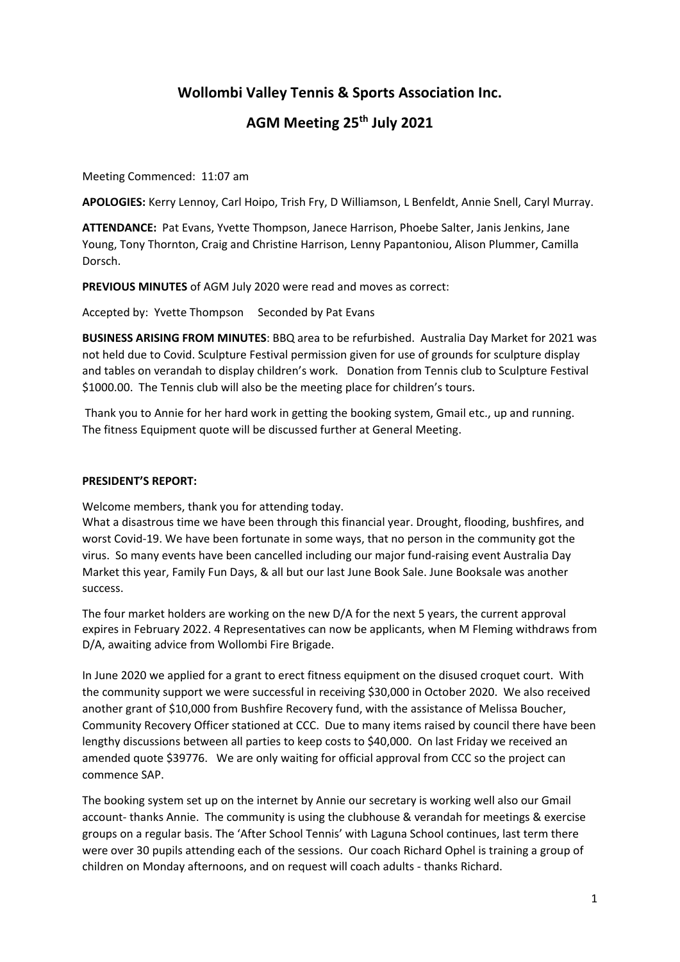## **Wollombi Valley Tennis & Sports Association Inc.**

# **AGM Meeting 25th July 2021**

Meeting Commenced: 11:07 am

**APOLOGIES:** Kerry Lennoy, Carl Hoipo, Trish Fry, D Williamson, L Benfeldt, Annie Snell, Caryl Murray.

**ATTENDANCE:** Pat Evans, Yvette Thompson, Janece Harrison, Phoebe Salter, Janis Jenkins, Jane Young, Tony Thornton, Craig and Christine Harrison, Lenny Papantoniou, Alison Plummer, Camilla Dorsch.

**PREVIOUS MINUTES** of AGM July 2020 were read and moves as correct:

Accepted by: Yvette Thompson Seconded by Pat Evans

**BUSINESS ARISING FROM MINUTES**: BBQ area to be refurbished. Australia Day Market for 2021 was not held due to Covid. Sculpture Festival permission given for use of grounds for sculpture display and tables on verandah to display children's work. Donation from Tennis club to Sculpture Festival \$1000.00. The Tennis club will also be the meeting place for children's tours.

Thank you to Annie for her hard work in getting the booking system, Gmail etc., up and running. The fitness Equipment quote will be discussed further at General Meeting.

### **PRESIDENT'S REPORT:**

Welcome members, thank you for attending today.

What a disastrous time we have been through this financial year. Drought, flooding, bushfires, and worst Covid-19. We have been fortunate in some ways, that no person in the community got the virus. So many events have been cancelled including our major fund-raising event Australia Day Market this year, Family Fun Days, & all but our last June Book Sale. June Booksale was another success.

The four market holders are working on the new D/A for the next 5 years, the current approval expires in February 2022. 4 Representatives can now be applicants, when M Fleming withdraws from D/A, awaiting advice from Wollombi Fire Brigade.

In June 2020 we applied for a grant to erect fitness equipment on the disused croquet court. With the community support we were successful in receiving \$30,000 in October 2020. We also received another grant of \$10,000 from Bushfire Recovery fund, with the assistance of Melissa Boucher, Community Recovery Officer stationed at CCC. Due to many items raised by council there have been lengthy discussions between all parties to keep costs to \$40,000. On last Friday we received an amended quote \$39776. We are only waiting for official approval from CCC so the project can commence SAP.

The booking system set up on the internet by Annie our secretary is working well also our Gmail account- thanks Annie. The community is using the clubhouse & verandah for meetings & exercise groups on a regular basis. The 'After School Tennis' with Laguna School continues, last term there were over 30 pupils attending each of the sessions. Our coach Richard Ophel is training a group of children on Monday afternoons, and on request will coach adults - thanks Richard.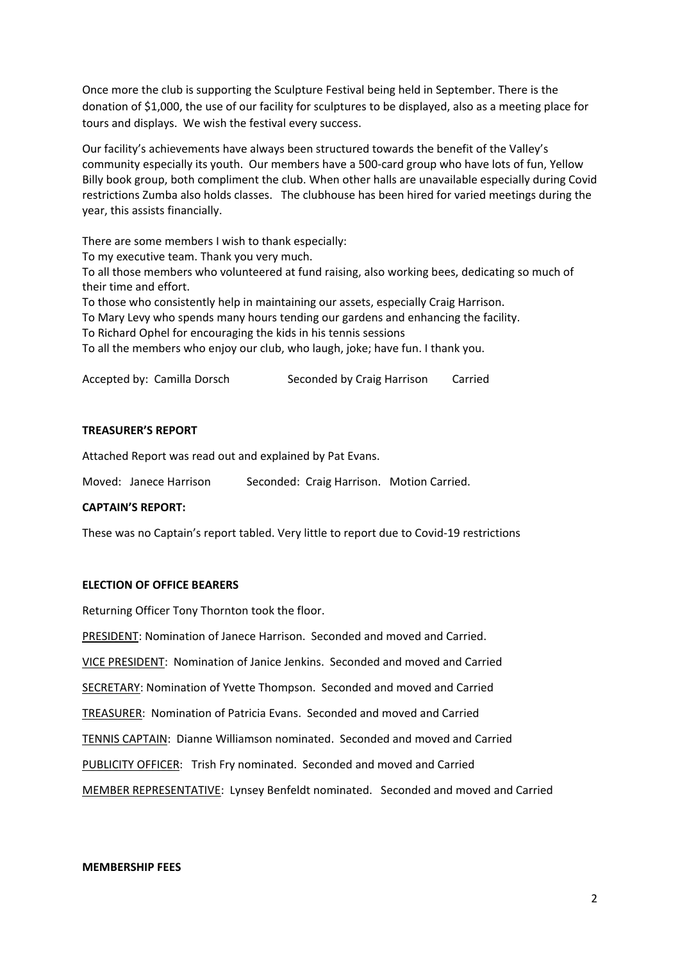Once more the club is supporting the Sculpture Festival being held in September. There is the donation of \$1,000, the use of our facility for sculptures to be displayed, also as a meeting place for tours and displays. We wish the festival every success.

Our facility's achievements have always been structured towards the benefit of the Valley's community especially its youth. Our members have a 500-card group who have lots of fun, Yellow Billy book group, both compliment the club. When other halls are unavailable especially during Covid restrictions Zumba also holds classes. The clubhouse has been hired for varied meetings during the year, this assists financially.

There are some members I wish to thank especially:

To my executive team. Thank you very much.

To all those members who volunteered at fund raising, also working bees, dedicating so much of their time and effort.

To those who consistently help in maintaining our assets, especially Craig Harrison.

To Mary Levy who spends many hours tending our gardens and enhancing the facility.

To Richard Ophel for encouraging the kids in his tennis sessions

To all the members who enjoy our club, who laugh, joke; have fun. I thank you.

Accepted by: Camilla Dorsch Seconded by Craig Harrison Carried

#### **TREASURER'S REPORT**

Attached Report was read out and explained by Pat Evans.

Moved: Janece Harrison Seconded: Craig Harrison. Motion Carried.

### **CAPTAIN'S REPORT:**

These was no Captain's report tabled. Very little to report due to Covid-19 restrictions

### **ELECTION OF OFFICE BEARERS**

Returning Officer Tony Thornton took the floor.

PRESIDENT: Nomination of Janece Harrison. Seconded and moved and Carried.

VICE PRESIDENT: Nomination of Janice Jenkins. Seconded and moved and Carried

SECRETARY: Nomination of Yvette Thompson. Seconded and moved and Carried

TREASURER: Nomination of Patricia Evans. Seconded and moved and Carried

TENNIS CAPTAIN: Dianne Williamson nominated. Seconded and moved and Carried

PUBLICITY OFFICER: Trish Fry nominated. Seconded and moved and Carried

MEMBER REPRESENTATIVE: Lynsey Benfeldt nominated. Seconded and moved and Carried

#### **MEMBERSHIP FEES**